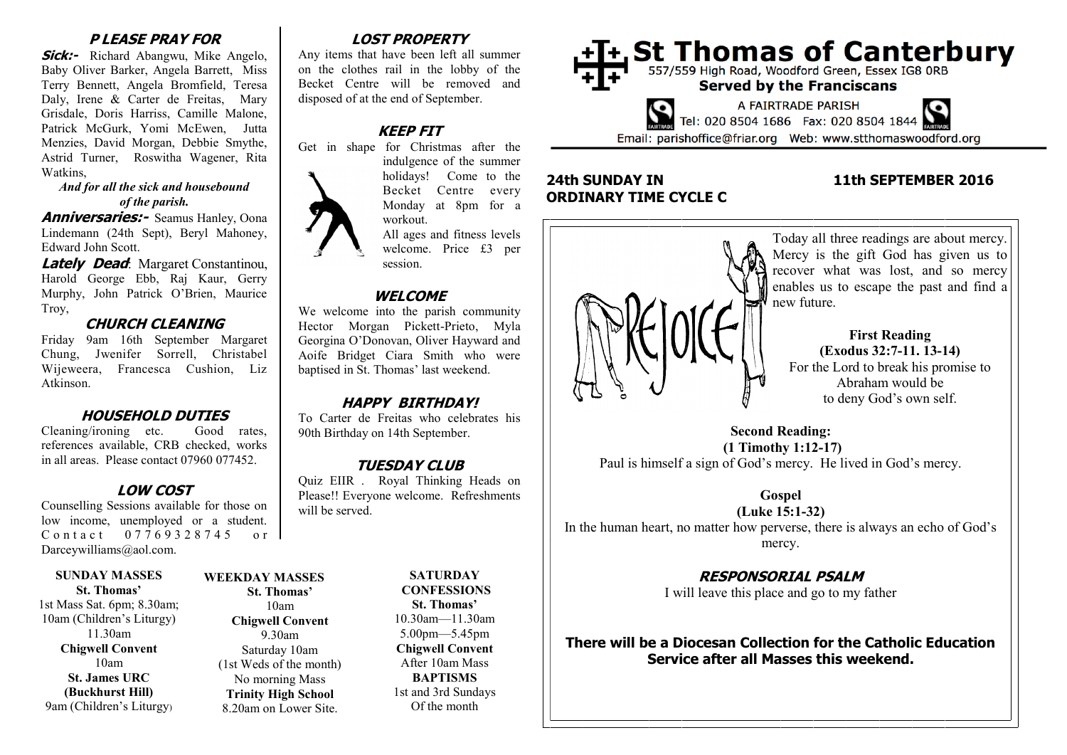# **P LEASE PRAY FOR**

**Sick:-** Richard Abangwu, Mike Angelo, Baby Oliver Barker, Angela Barrett, Miss Terry Bennett, Angela Bromfield, Teresa Daly, Irene & Carter de Freitas, Mary Grisdale, Doris Harriss, Camille Malone, Patrick McGurk, Yomi McEwen, Jutta Menzies, David Morgan, Debbie Smythe, Astrid Turner, Roswitha Wagener, Rita Watkins,

#### *And for all the sick and housebound of the parish.*

**Anniversaries:-** Seamus Hanley, Oona Lindemann (24th Sept), Beryl Mahoney, Edward John Scott.

**Lately Dead:** Margaret Constantinou, Harold George Ebb, Raj Kaur, Gerry Murphy, John Patrick O'Brien, Maurice Troy,

## **CHURCH CLEANING**

Friday 9am 16th September Margaret Chung, Jwenifer Sorrell, Christabel Wijeweera, Francesca Cushion, Liz Atkinson.

# **HOUSEHOLD DUTIES**

Cleaning/ironing etc. Good rates, references available, CRB checked, works in all areas. Please contact 07960 077452.

# **LOW COST**

Counselling Sessions available for those on low income, unemployed or a student. C o n t a c t 0 7 7 6 9 3 2 8 7 4 5 o r Darceywilliams@aol.com.

#### **SUNDAY MASSES St. Thomas'**

1st Mass Sat. 6pm; 8.30am; 10am (Children's Liturgy) 11.30am **Chigwell Convent** 10am **St. James URC (Buckhurst Hill)** 9am (Children's Liturgy)

### **WEEKDAY MASSES St. Thomas'** 10am **Chigwell Convent**

9.30am Saturday 10am (1st Weds of the month) No morning Mass **Trinity High School** 8.20am on Lower Site.

# **LOST PROPERTY**

Any items that have been left all summer on the clothes rail in the lobby of the Becket Centre will be removed and disposed of at the end of September.

# **KEEP FIT**



Get in shape for Christmas after the indulgence of the summer

> holidays! Come to the Becket Centre every Monday at 8pm for a workout.

> All ages and fitness levels welcome. Price £3 per session.

#### **WELCOME**

We welcome into the parish community Hector Morgan Pickett-Prieto, Myla Georgina O'Donovan, Oliver Hayward and Aoife Bridget Ciara Smith who were baptised in St. Thomas' last weekend.

# **HAPPY BIRTHDAY!**

To Carter de Freitas who celebrates his 90th Birthday on 14th September.

# **TUESDAY CLUB**

Quiz EIIR . Royal Thinking Heads on Please!! Everyone welcome. Refreshments will be served.

> **SATURDAY CONFESSIONS St. Thomas'** 10.30am—11.30am 5.00pm—5.45pm **Chigwell Convent** After 10am Mass **BAPTISMS** 1st and 3rd Sundays Of the month



# **24th SUNDAY IN 11th SEPTEMBER 2016 ORDINARY TIME CYCLE C**



**Second Reading: (1 Timothy 1:12-17)** Paul is himself a sign of God's mercy. He lived in God's mercy.

**Gospel**

**(Luke 15:1-32)** In the human heart, no matter how perverse, there is always an echo of God's mercy.

# **RESPONSORIAL PSALM**

I will leave this place and go to my father

**There will be a Diocesan Collection for the Catholic Education Service after all Masses this weekend.**